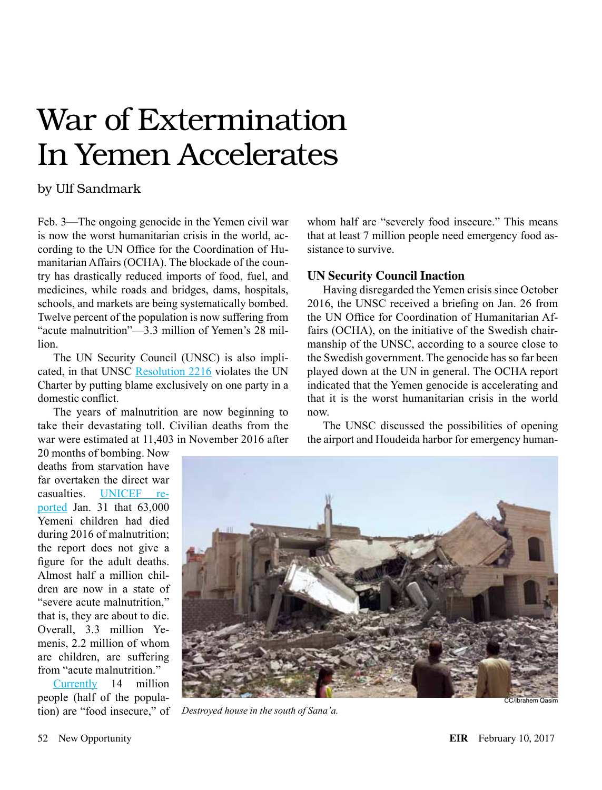# War of Extermination In Yemen Accelerates

## by Ulf Sandmark

Feb. 3—The ongoing genocide in the Yemen civil war is now the worst humanitarian crisis in the world, according to the UN Office for the Coordination of Humanitarian Affairs (OCHA). The blockade of the country has drastically reduced imports of food, fuel, and medicines, while roads and bridges, dams, hospitals, schools, and markets are being systematically bombed. Twelve percent of the population is now suffering from "acute malnutrition"—3.3 million of Yemen's 28 million.

The UN Security Council (UNSC) is also impli-cated, in that UNSC [Resolution 2216](http://www.un.org/ga/search/view_doc.asp?symbol=S/RES/2216(2015)) violates the UN Charter by putting blame exclusively on one party in a domestic conflict.

The years of malnutrition are now beginning to take their devastating toll. Civilian deaths from the war were estimated at 11,403 in November 2016 after

20 months of bombing. Now deaths from starvation have far overtaken the direct war casualties. [UNICEF re](http://english.aawsat.com/2017/02/article55366693/unicef-63000-yemeni-children-died-2016-malnutrition)[ported](http://english.aawsat.com/2017/02/article55366693/unicef-63000-yemeni-children-died-2016-malnutrition) Jan. 31 that 63,000 Yemeni children had died during 2016 of malnutrition; the report does not give a figure for the adult deaths. Almost half a million children are now in a state of "severe acute malnutrition," that is, they are about to die. Overall, 3.3 million Yemenis, 2.2 million of whom are children, are suffering from "acute malnutrition."

[Currently](http://reliefweb.int/report/yemen/under-secretary-general-humanitarian-affairs-and-emergency-relief-coordinator-11) 14 million people (half of the population) are "food insecure," of whom half are "severely food insecure." This means that at least 7 million people need emergency food assistance to survive.

### **UN Security Council Inaction**

Having disregarded the Yemen crisis since October 2016, the UNSC received a briefing on Jan. 26 from the UN Office for Coordination of Humanitarian Affairs (OCHA), on the initiative of the Swedish chairmanship of the UNSC, according to a source close to the Swedish government. The genocide has so far been played down at the UN in general. The OCHA report indicated that the Yemen genocide is accelerating and that it is the worst humanitarian crisis in the world now.

The UNSC discussed the possibilities of opening the airport and Houdeida harbor for emergency human-



*Destroyed house in the south of Sana'a.*

CC/Ibrahem Qasim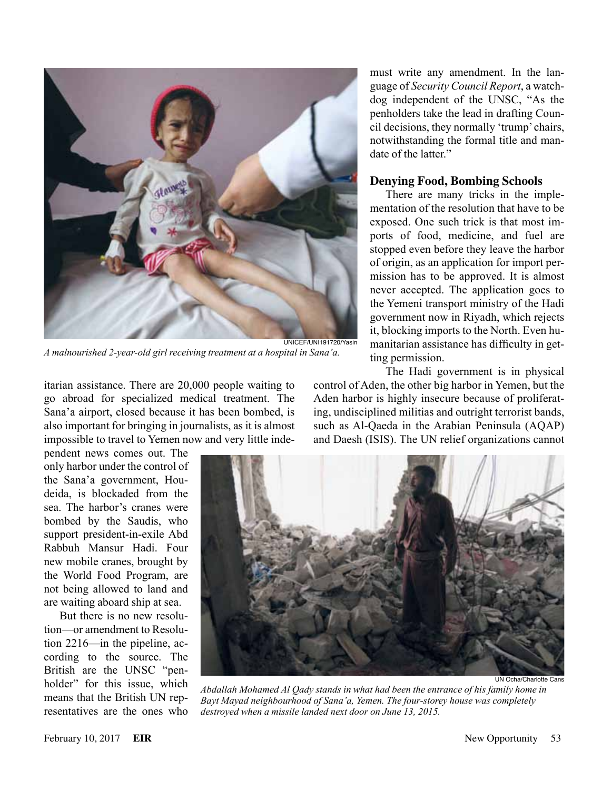

*A malnourished 2-year-old girl receiving treatment at a hospital in Sana'a.*

itarian assistance. There are 20,000 people waiting to go abroad for specialized medical treatment. The Sana'a airport, closed because it has been bombed, is also important for bringing in journalists, as it is almost impossible to travel to Yemen now and very little inde-

pendent news comes out. The only harbor under the control of the Sana'a government, Houdeida, is blockaded from the sea. The harbor's cranes were bombed by the Saudis, who support president-in-exile Abd Rabbuh Mansur Hadi. Four new mobile cranes, brought by the World Food Program, are not being allowed to land and are waiting aboard ship at sea.

But there is no new resolution—or amendment to Resolution 2216—in the pipeline, according to the source. The British are the UNSC "penholder" for this issue, which means that the British UN representatives are the ones who

must write any amendment. In the language of *Security Council Report*, a watchdog independent of the UNSC, "As the penholders take the lead in drafting Council decisions, they normally 'trump' chairs, notwithstanding the formal title and mandate of the latter."

#### **Denying Food, Bombing Schools**

There are many tricks in the implementation of the resolution that have to be exposed. One such trick is that most imports of food, medicine, and fuel are stopped even before they leave the harbor of origin, as an application for import permission has to be approved. It is almost never accepted. The application goes to the Yemeni transport ministry of the Hadi government now in Riyadh, which rejects it, blocking imports to the North. Even humanitarian assistance has difficulty in getting permission.

The Hadi government is in physical control of Aden, the other big harbor in Yemen, but the Aden harbor is highly insecure because of proliferating, undisciplined militias and outright terrorist bands, such as Al-Qaeda in the Arabian Peninsula (AQAP) and Daesh (ISIS). The UN relief organizations cannot



UN Ocha/Charlotte Cans

*Abdallah Mohamed Al Qady stands in what had been the entrance of his family home in Bayt Mayad neighbourhood of Sana'a, Yemen. The four-storey house was completely destroyed when a missile landed next door on June 13, 2015.*